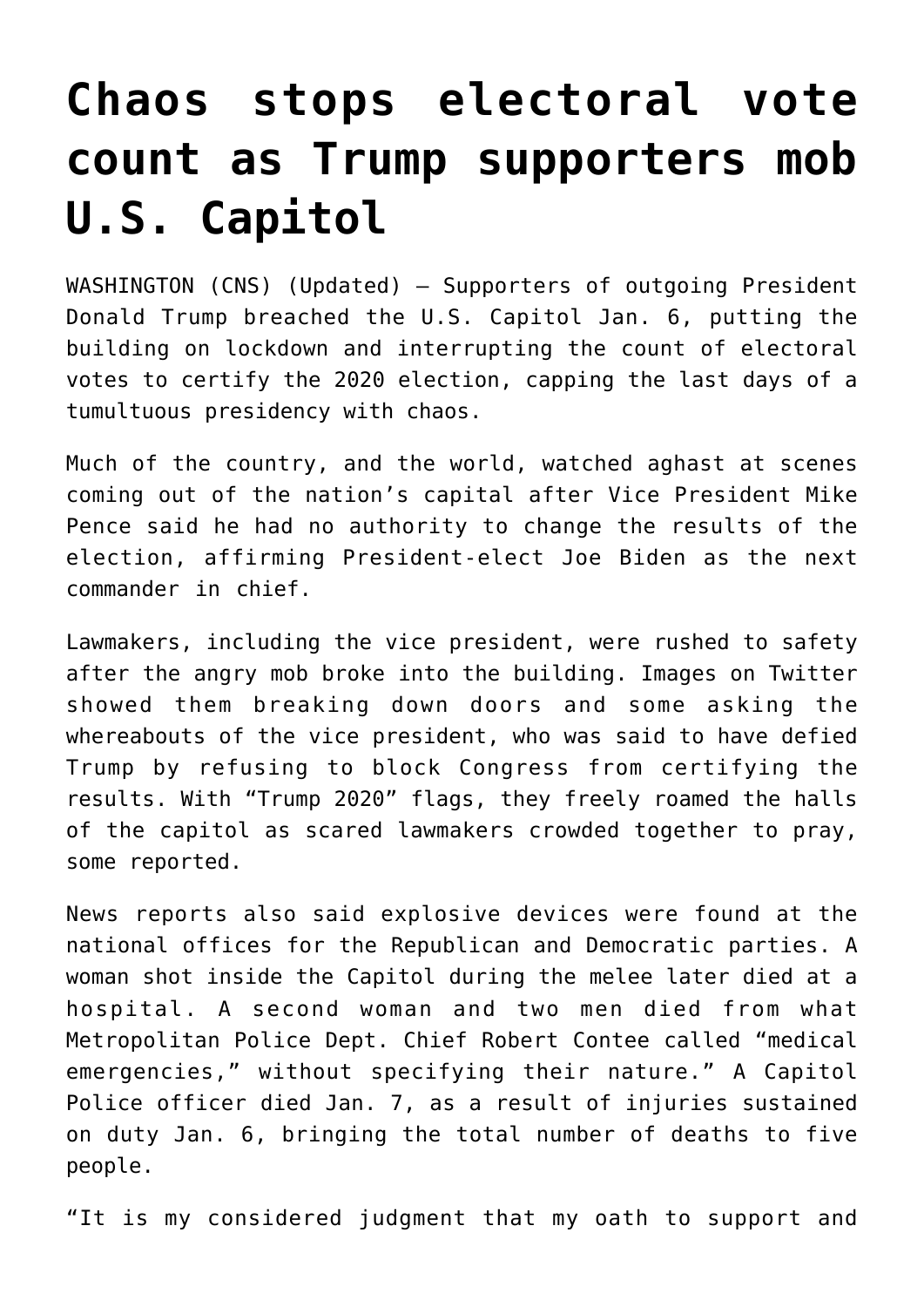## **[Chaos stops electoral vote](https://www.osvnews.com/2021/01/07/chaos-stops-electoral-vote-count-as-trump-supporters-mob-u-s-capitol/) [count as Trump supporters mob](https://www.osvnews.com/2021/01/07/chaos-stops-electoral-vote-count-as-trump-supporters-mob-u-s-capitol/) [U.S. Capitol](https://www.osvnews.com/2021/01/07/chaos-stops-electoral-vote-count-as-trump-supporters-mob-u-s-capitol/)**

WASHINGTON (CNS) (Updated) — Supporters of outgoing President Donald Trump breached the U.S. Capitol Jan. 6, putting the building on lockdown and interrupting the count of electoral votes to certify the 2020 election, capping the last days of a tumultuous presidency with chaos.

Much of the country, and the world, watched aghast at scenes coming out of the nation's capital after Vice President Mike Pence said he had no authority to change the results of the election, affirming President-elect Joe Biden as the next commander in chief.

Lawmakers, including the vice president, were rushed to safety after the angry mob broke into the building. Images on Twitter showed them breaking down doors and some asking the whereabouts of the vice president, who was said to have defied Trump by refusing to block Congress from certifying the results. With "Trump 2020" flags, they freely roamed the halls of the capitol as scared lawmakers crowded together to pray, some reported.

News reports also said explosive devices were found at the national offices for the Republican and Democratic parties. A woman shot inside the Capitol during the melee later died at a hospital. A second woman and two men died from what Metropolitan Police Dept. Chief Robert Contee called "medical emergencies," without specifying their nature." A Capitol Police officer died Jan. 7, as a result of injuries sustained on duty Jan. 6, bringing the total number of deaths to five people.

"It is my considered judgment that my oath to support and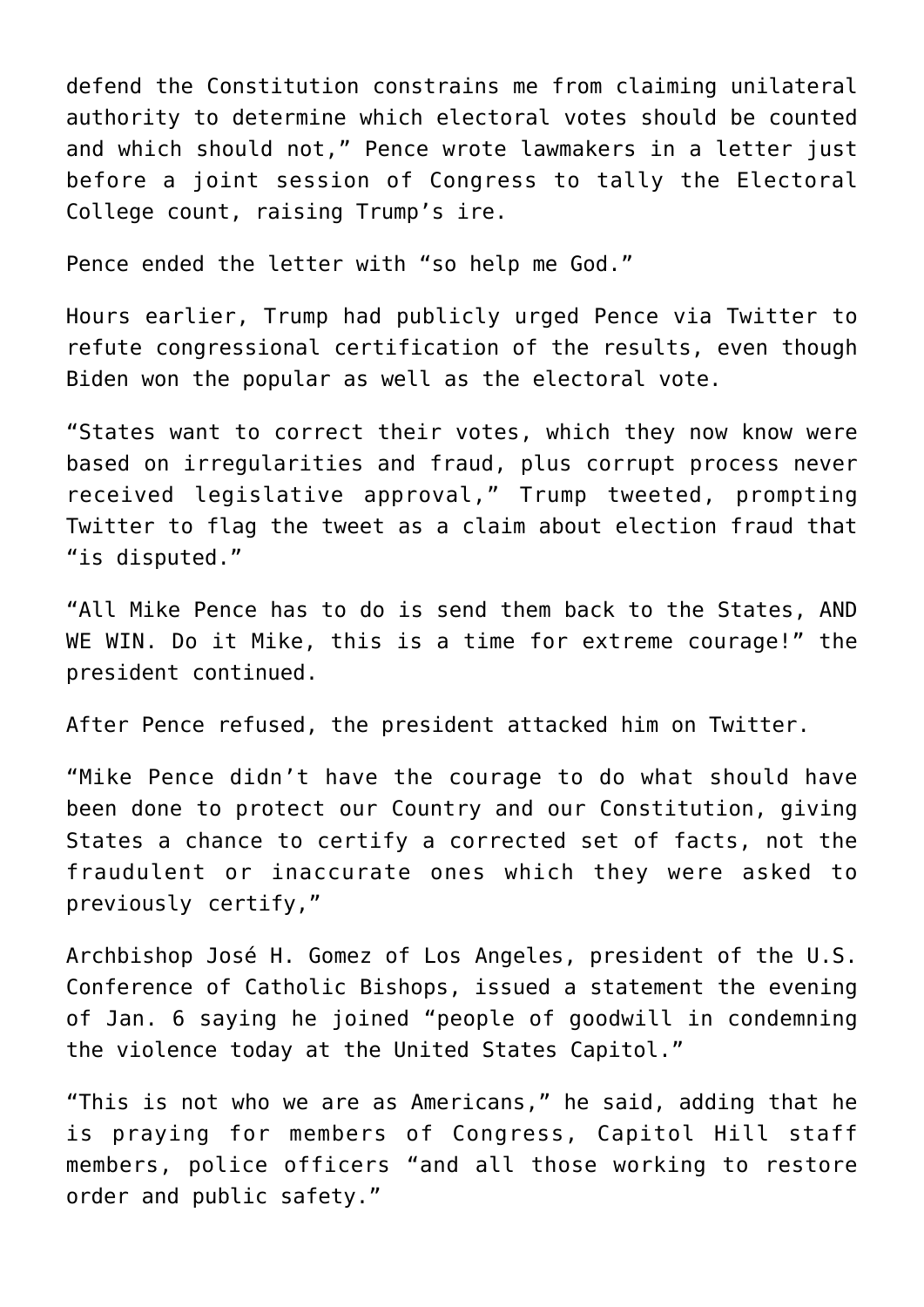defend the Constitution constrains me from claiming unilateral authority to determine which electoral votes should be counted and which should not," Pence wrote lawmakers in a letter just before a joint session of Congress to tally the Electoral College count, raising Trump's ire.

Pence ended the letter with "so help me God."

Hours earlier, Trump had publicly urged Pence via Twitter to refute congressional certification of the results, even though Biden won the popular as well as the electoral vote.

"States want to correct their votes, which they now know were based on irregularities and fraud, plus corrupt process never received legislative approval," Trump tweeted, prompting Twitter to flag the tweet as a claim about election fraud that "is disputed."

"All Mike Pence has to do is send them back to the States, AND WE WIN. Do it Mike, this is a time for extreme courage!" the president continued.

After Pence refused, the president attacked him on Twitter.

"Mike Pence didn't have the courage to do what should have been done to protect our Country and our Constitution, giving States a chance to certify a corrected set of facts, not the fraudulent or inaccurate ones which they were asked to previously certify,"

Archbishop José H. Gomez of Los Angeles, president of the U.S. Conference of Catholic Bishops, issued a statement the evening of Jan. 6 saying he joined "people of goodwill in condemning the violence today at the United States Capitol."

"This is not who we are as Americans," he said, adding that he is praying for members of Congress, Capitol Hill staff members, police officers "and all those working to restore order and public safety."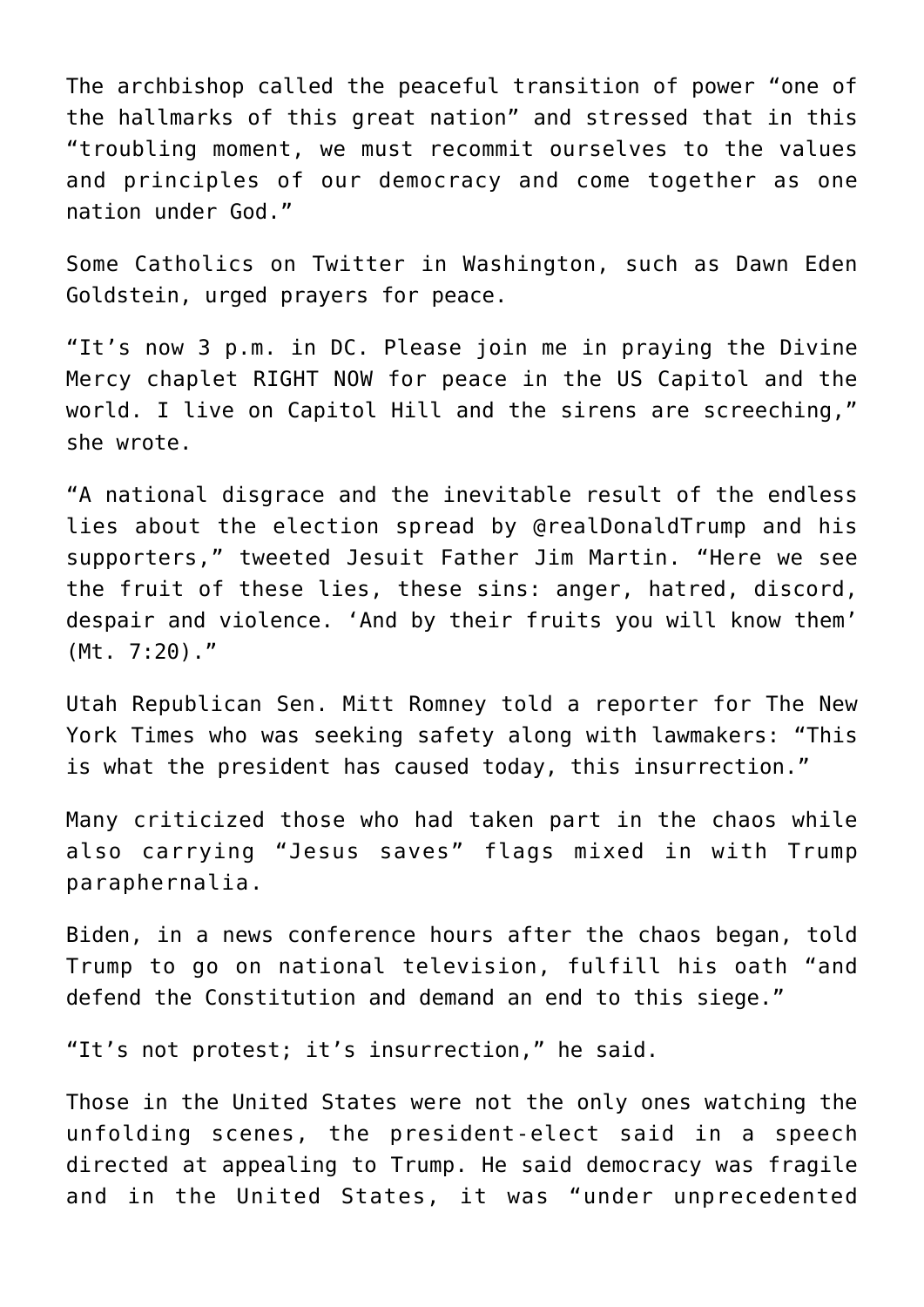The archbishop called the peaceful transition of power "one of the hallmarks of this great nation" and stressed that in this "troubling moment, we must recommit ourselves to the values and principles of our democracy and come together as one nation under God."

Some Catholics on Twitter in Washington, such as Dawn Eden Goldstein, urged prayers for peace.

"It's now 3 p.m. in DC. Please join me in praying the Divine Mercy chaplet RIGHT NOW for peace in the US Capitol and the world. I live on Capitol Hill and the sirens are screeching," she wrote.

"A national disgrace and the inevitable result of the endless lies about the election spread by @realDonaldTrump and his supporters," tweeted Jesuit Father Jim Martin. "Here we see the fruit of these lies, these sins: anger, hatred, discord, despair and violence. 'And by their fruits you will know them' (Mt. 7:20)."

Utah Republican Sen. Mitt Romney told a reporter for The New York Times who was seeking safety along with lawmakers: "This is what the president has caused today, this insurrection."

Many criticized those who had taken part in the chaos while also carrying "Jesus saves" flags mixed in with Trump paraphernalia.

Biden, in a news conference hours after the chaos began, told Trump to go on national television, fulfill his oath "and defend the Constitution and demand an end to this siege."

"It's not protest; it's insurrection," he said.

Those in the United States were not the only ones watching the unfolding scenes, the president-elect said in a speech directed at appealing to Trump. He said democracy was fragile and in the United States, it was "under unprecedented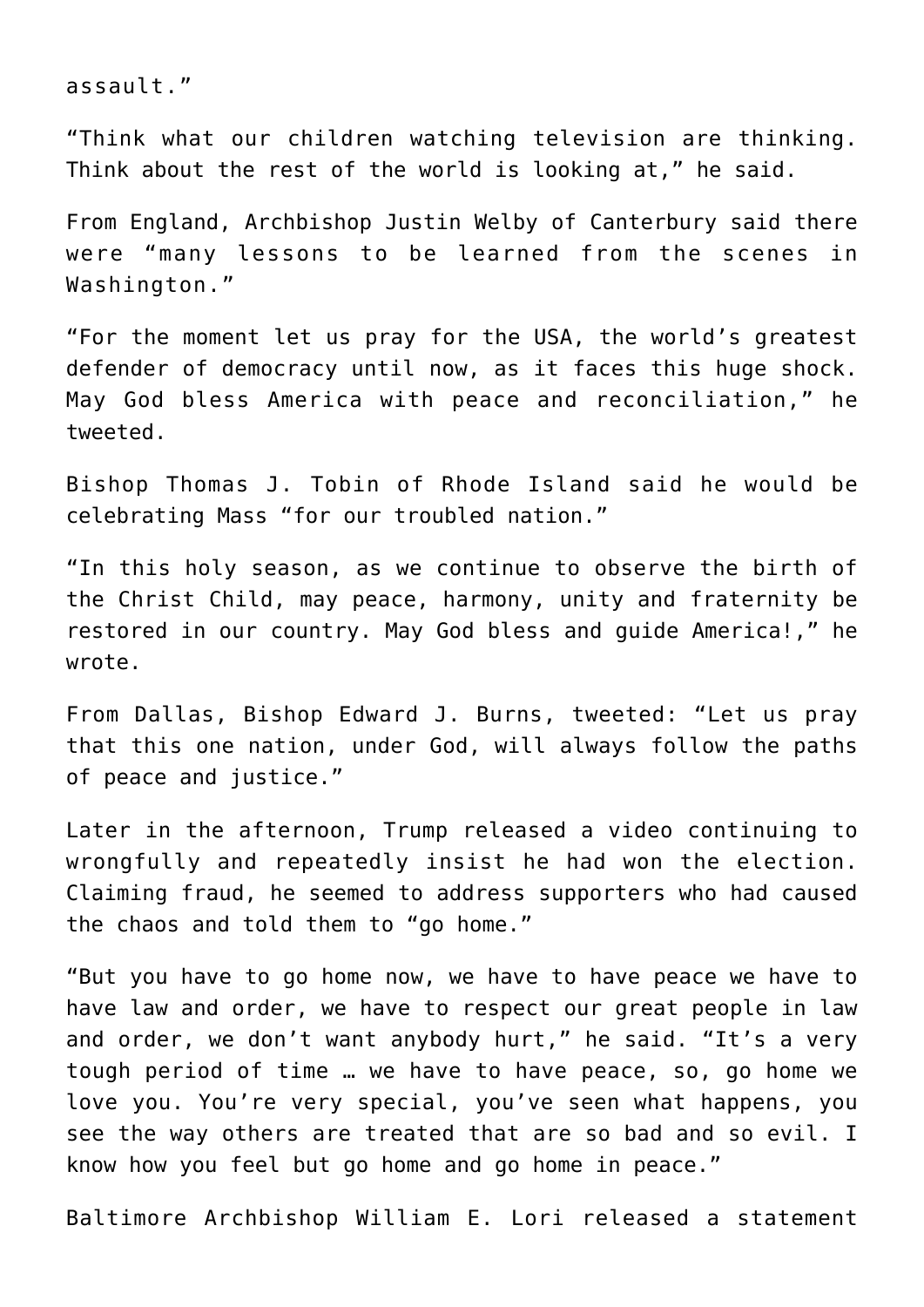assault."

"Think what our children watching television are thinking. Think about the rest of the world is looking at," he said.

From England, Archbishop Justin Welby of Canterbury said there were "many lessons to be learned from the scenes in Washington."

"For the moment let us pray for the USA, the world's greatest defender of democracy until now, as it faces this huge shock. May God bless America with peace and reconciliation," he tweeted.

Bishop Thomas J. Tobin of Rhode Island said he would be celebrating Mass "for our troubled nation."

"In this holy season, as we continue to observe the birth of the Christ Child, may peace, harmony, unity and fraternity be restored in our country. May God bless and guide America!," he wrote.

From Dallas, Bishop Edward J. Burns, tweeted: "Let us pray that this one nation, under God, will always follow the paths of peace and justice."

Later in the afternoon, Trump released a video continuing to wrongfully and repeatedly insist he had won the election. Claiming fraud, he seemed to address supporters who had caused the chaos and told them to "go home."

"But you have to go home now, we have to have peace we have to have law and order, we have to respect our great people in law and order, we don't want anybody hurt," he said. "It's a very tough period of time … we have to have peace, so, go home we love you. You're very special, you've seen what happens, you see the way others are treated that are so bad and so evil. I know how you feel but go home and go home in peace."

Baltimore Archbishop William E. Lori released a statement